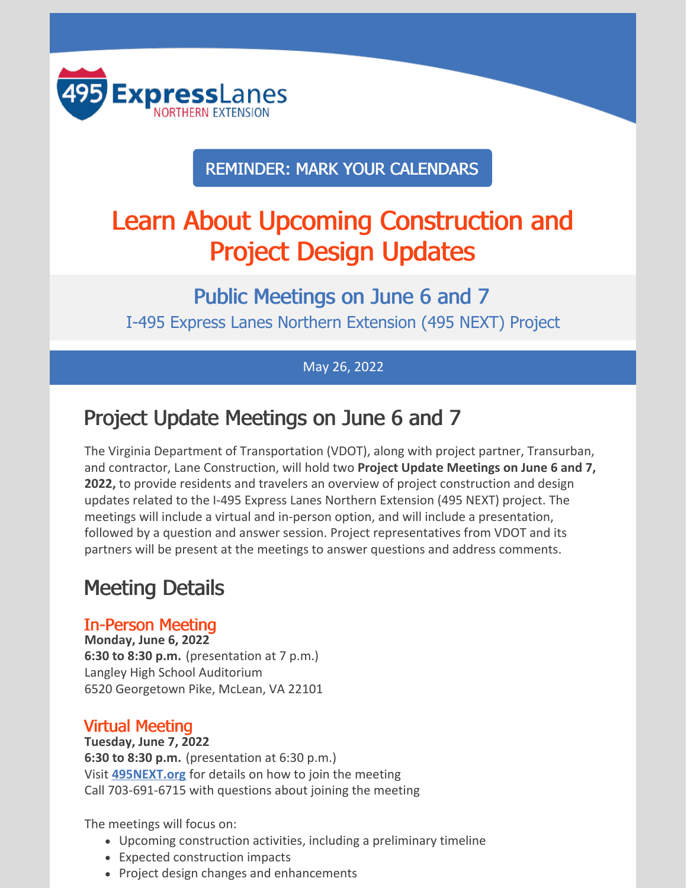

REMINDER: MARK YOUR CALENDARS

# Learn About Upcoming Construction and Project Design Updates

Public Meetings on June 6 and 7 I-495 Express Lanes Northern Extension (495 NEXT) Project

#### May 26, 2022

## Project Update Meetings on June 6 and 7

The Virginia Department of Transportation (VDOT), along with project partner, Transurban, and contractor, Lane Construction, will hold two **Project Update Meetings on June 6 and 7, 2022,** to provide residents and travelers an overview of project construction and design updates related to the I-495 Express Lanes Northern Extension (495 NEXT) project. The meetings will include a virtual and in-person option, and will include a presentation, followed by a question and answer session. Project representatives from VDOT and its partners will be present at the meetings to answer questions and address comments.

### Meeting Details

#### In-Person Meeting

**Monday, June 6, 2022 6:30 to 8:30 p.m.** (presentation at 7 p.m.) Langley High School Auditorium 6520 Georgetown Pike, McLean, VA 22101

#### Virtual Meeting

**Tuesday, June 7, 2022**

**6:30 to 8:30 p.m.** (presentation at 6:30 p.m.) Visit **[495NEXT.org](https://495next.org/public_meetings/)** for details on how to join the meeting Call 703-691-6715 with questions about joining the meeting

The meetings will focus on:

- Upcoming construction activities, including a preliminary timeline
- Expected construction impacts
- Project design changes and enhancements